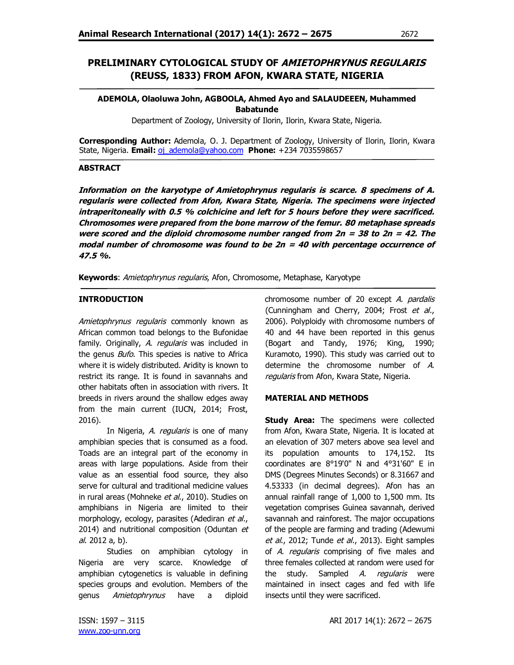# **PRELIMINARY CYTOLOGICAL STUDY OF AMIETOPHRYNUS REGULARIS (REUSS, 1833) FROM AFON, KWARA STATE, NIGERIA**

## **ADEMOLA, Olaoluwa John, AGBOOLA, Ahmed Ayo and SALAUDEEEN, Muhammed Babatunde**

Department of Zoology, University of Ilorin, Ilorin, Kwara State, Nigeria.

**Corresponding Author:** Ademola, O. J. Department of Zoology, University of Ilorin, Ilorin, Kwara State, Nigeria. **Email:** oj ademola@yahoo.com **Phone:** +234 7035598657

#### **ABSTRACT**

**Information on the karyotype of Amietophrynus regularis is scarce. 8 specimens of A. regularis were collected from Afon, Kwara State, Nigeria. The specimens were injected intraperitoneally with 0.5 % colchicine and left for 5 hours before they were sacrificed. Chromosomes were prepared from the bone marrow of the femur. 80 metaphase spreads were scored and the diploid chromosome number ranged from 2n <sup>=</sup> 38 to 2n <sup>=</sup> 42. The modal number of chromosome was found to be 2n <sup>=</sup> 40 with percentage occurrence of 47.5 %.**

**Keywords**: Amietophrynus regularis, Afon, Chromosome, Metaphase, Karyotype

## **INTRODUCTION**

Amietophrynus regularis commonly known as African common toad belongs to the Bufonidae family. Originally, A. regularis was included in the genus *Bufo*. This species is native to Africa where it is widely distributed. Aridity is known to restrict its range. It is found in savannahs and other habitats often in association with rivers. It breeds in rivers around the shallow edges away from the main current (IUCN, 2014; Frost, 2016).

In Nigeria, A. regularis is one of many amphibian species that is consumed as a food. Toads are an integral part of the economy in areas with large populations. Aside from their value as an essential food source, they also serve for cultural and traditional medicine values in rural areas (Mohneke et al., 2010). Studies on amphibians in Nigeria are limited to their morphology, ecology, parasites (Adediran et al., 2014) and nutritional composition (Oduntan et al. 2012 a, b).

Studies on amphibian cytology in Nigeria are very scarce. Knowledge of amphibian cytogenetics is valuable in defining species groups and evolution. Members of the genus Amietophrynus have a diploid chromosome number of 20 except A. pardalis (Cunningham and Cherry, 2004; Frost et al., 2006). Polyploidy with chromosome numbers of 40 and 44 have been reported in this genus (Bogart and Tandy, 1976; King, 1990; Kuramoto, 1990). This study was carried out to determine the chromosome number of A. regularis from Afon, Kwara State, Nigeria.

## **MATERIAL AND METHODS**

**Study Area:** The specimens were collected from Afon, Kwara State, Nigeria. It is located at an elevation of 307 meters above sea level and its population amounts to 174,152. Its coordinates are 8°19'0" N and 4°31'60" E in DMS (Degrees Minutes Seconds) or 8.31667 and 4.53333 (in decimal degrees). Afon has an annual rainfall range of 1,000 to 1,500 mm. Its vegetation comprises Guinea savannah, derived savannah and rainforest. The major occupations of the people are farming and trading (Adewumi et al., 2012; Tunde et al., 2013). Eight samples of A. regularis comprising of five males and three females collected at random were used for the study. Sampled A. regularis were maintained in insect cages and fed with life insects until they were sacrificed.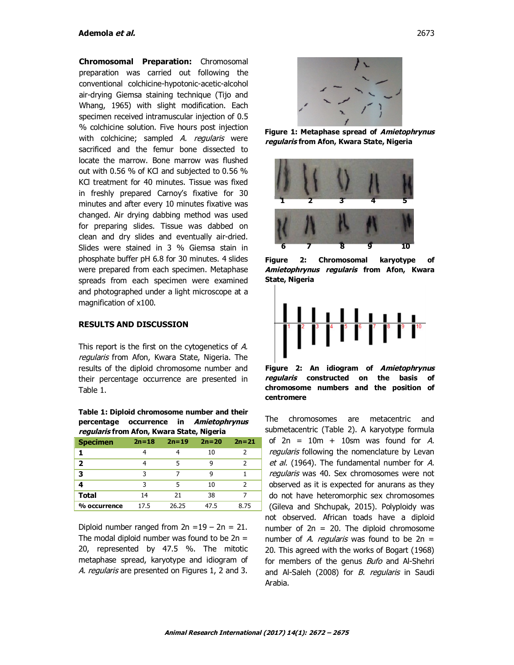**Chromosomal Preparation:** Chromosomal preparation was carried out following the conventional colchicine-hypotonic-acetic-alcohol air-drying Giemsa staining technique (Tijo and Whang, 1965) with slight modification. Each specimen received intramuscular injection of 0.5 % colchicine solution. Five hours post injection with colchicine; sampled A. regularis were sacrificed and the femur bone dissected to locate the marrow. Bone marrow was flushed out with 0.56 % of KCl and subjected to 0.56 % KCl treatment for 40 minutes. Tissue was fixed in freshly prepared Carnoy's fixative for 30 minutes and after every 10 minutes fixative was changed. Air drying dabbing method was used for preparing slides. Tissue was dabbed on clean and dry slides and eventually air-dried. Slides were stained in 3 % Giemsa stain in phosphate buffer pH 6.8 for 30 minutes. 4 slides were prepared from each specimen. Metaphase spreads from each specimen were examined and photographed under a light microscope at a magnification of x100.

#### **RESULTS AND DISCUSSION**

This report is the first on the cytogenetics of A. regularis from Afon, Kwara State, Nigeria. The results of the diploid chromosome number and their percentage occurrence are presented in Table 1.

| Table 1: Diploid chromosome number and their |  |  |                                        |  |  |  |  |
|----------------------------------------------|--|--|----------------------------------------|--|--|--|--|
|                                              |  |  | percentage occurrence in Amietophrynus |  |  |  |  |
| regularis from Afon, Kwara State, Nigeria    |  |  |                                        |  |  |  |  |

| <b>Specimen</b> | $2n = 18$ | $2n = 19$ | $2n = 20$ | $2n = 21$ |
|-----------------|-----------|-----------|-----------|-----------|
|                 |           |           | 10        | 2         |
| 2               |           | 5         | q         | 2         |
| 3               | 3         | 7         | q         |           |
| 4               | 3         | 5         | 10        | 2         |
| <b>Total</b>    | 14        | 21        | 38        |           |
| % occurrence    | 17.5      | 26.25     | 47.5      | 8.75      |

Diploid number ranged from  $2n = 19 - 2n = 21$ . The modal diploid number was found to be  $2n =$ 20, represented by 47.5 %. The mitotic metaphase spread, karyotype and idiogram of A. regularis are presented on Figures 1, 2 and 3.



**Figure 1: Metaphase spread of Amietophrynus regularis from Afon, Kwara State, Nigeria**



**Figure 2: Chromosomal karyotype of Amietophrynus regularis from Afon, Kwara State, Nigeria**



**Figure 2: An idiogram of Amietophrynus regularis constructed on the basis of chromosome numbers and the position of centromere**

The chromosomes are metacentric and submetacentric (Table 2). A karyotype formula of  $2n = 10m + 10$ sm was found for A. regularis following the nomenclature by Levan et al. (1964). The fundamental number for A. regularis was 40. Sex chromosomes were not observed as it is expected for anurans as they do not have heteromorphic sex chromosomes (Gileva and Shchupak, 2015). Polyploidy was not observed. African toads have a diploid number of  $2n = 20$ . The diploid chromosome number of A. regularis was found to be  $2n =$ 20. This agreed with the works of Bogart (1968) for members of the genus *Bufo* and Al-Shehri and Al-Saleh (2008) for *B. regularis* in Saudi Arabia.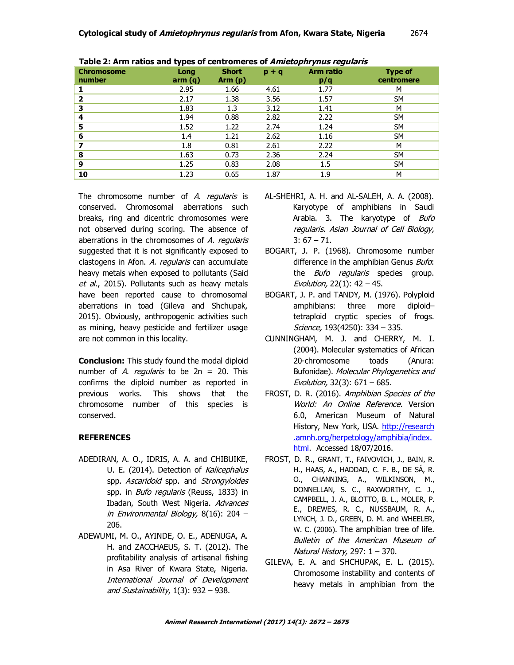| <b>Chromosome</b><br>number | Long<br>arm(q) | <b>Short</b><br>Arm(p) | $p + q$ | Arm ratio<br>p/q | <b>Type of</b><br>centromere |
|-----------------------------|----------------|------------------------|---------|------------------|------------------------------|
|                             | 2.95           | 1.66                   | 4.61    | 1.77             | M                            |
| $\overline{\mathbf{2}}$     | 2.17           | 1.38                   | 3.56    | 1.57             | <b>SM</b>                    |
| 3                           | 1.83           | 1.3                    | 3.12    | 1.41             | м                            |
| 4                           | 1.94           | 0.88                   | 2.82    | 2.22             | <b>SM</b>                    |
| 5                           | 1.52           | 1.22                   | 2.74    | 1.24             | <b>SM</b>                    |
| 6                           | 1.4            | 1.21                   | 2.62    | 1.16             | <b>SM</b>                    |
| 7                           | 1.8            | 0.81                   | 2.61    | 2.22             | M                            |
| 8                           | 1.63           | 0.73                   | 2.36    | 2.24             | <b>SM</b>                    |
| 9                           | 1.25           | 0.83                   | 2.08    | 1.5              | <b>SM</b>                    |
| 10                          | 1.23           | 0.65                   | 1.87    | 1.9              | М                            |

**Table 2: Arm ratios and types of centromeres of Amietophrynus regularis**

The chromosome number of A. regularis is conserved. Chromosomal aberrations such breaks, ring and dicentric chromosomes were not observed during scoring. The absence of aberrations in the chromosomes of A. regularis suggested that it is not significantly exposed to clastogens in Afon. A. regularis can accumulate heavy metals when exposed to pollutants (Said et al., 2015). Pollutants such as heavy metals have been reported cause to chromosomal aberrations in toad (Gileva and Shchupak, 2015). Obviously, anthropogenic activities such as mining, heavy pesticide and fertilizer usage are not common in this locality.

**Conclusion:** This study found the modal diploid number of A. regularis to be  $2n = 20$ . This confirms the diploid number as reported in previous works. This shows that the chromosome number of this species is conserved.

## **REFERENCES**

- ADEDIRAN, A. O., IDRIS, A. A. and CHIBUIKE, U. E. (2014). Detection of Kalicephalus spp. Ascaridoid spp. and Strongyloides spp. in *Bufo regularis* (Reuss, 1833) in Ibadan, South West Nigeria. Advances in Environmental Biology, 8(16): 204 – 206.
- ADEWUMI, M. O., AYINDE, O. E., ADENUGA, A. H. and ZACCHAEUS, S. T. (2012). The profitability analysis of artisanal fishing in Asa River of Kwara State, Nigeria. International Journal of Development and Sustainability,  $1(3)$ : 932 - 938.
- AL-SHEHRI, A. H. and AL-SALEH, A. A. (2008). Karyotype of amphibians in Saudi Arabia. 3. The karyotype of Bufo regularis. Asian Journal of Cell Biology,  $3: 67 - 71.$
- BOGART, J. P. (1968). Chromosome number difference in the amphibian Genus Bufo: the *Bufo regularis* species group. Evolution, 22(1): 42 – 45.
- BOGART, J. P. and TANDY, M. (1976). Polyploid amphibians: three more diploid– tetraploid cryptic species of frogs. Science, 193(4250): 334 - 335.
- CUNNINGHAM, M. J. and CHERRY, M. I. (2004). Molecular systematics of African 20-chromosome toads (Anura: Bufonidae). Molecular Phylogenetics and Evolution, 32(3): 671 – 685.
- FROST, D. R. (2016). Amphibian Species of the World: An Online Reference. Version 6.0, American Museum of Natural History, New York, USA. http://research .amnh.org/herpetology/amphibia/index. html. Accessed 18/07/2016.
- FROST, D. R., GRANT, T., FAIVOVICH, J., BAIN, R. H., HAAS, A., HADDAD, C. F. B., DE SÁ, R. O., CHANNING, A., WILKINSON, M., DONNELLAN, S. C., RAXWORTHY, C. J., CAMPBELL, J. A., BLOTTO, B. L., MOLER, P. E., DREWES, R. C., NUSSBAUM, R. A., LYNCH, J. D., GREEN, D. M. and WHEELER, W. C. (2006). The amphibian tree of life. Bulletin of the American Museum of Natural History, 297: 1 – 370.
- GILEVA, E. A. and SHCHUPAK, E. L. (2015). Chromosome instability and contents of heavy metals in amphibian from the